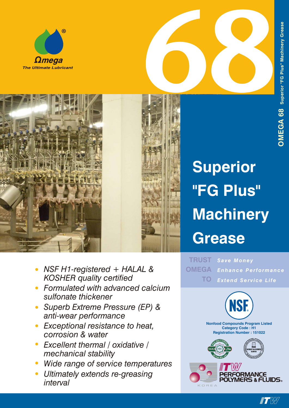





# **Superior "FG Plus" Machinery Grease**

- *• NSF H1-registered + HALAL & KOSHER quality certified*
- *• Formulated with advanced calcium sulfonate thickener*
- *• Superb Extreme Pressure (EP) & anti-wear performance*
- *• Exceptional resistance to heat, corrosion & water*
- *• Excellent thermal / oxidative / mechanical stability*
- *• Wide range of service temperatures*
- *• Ultimately extends re-greasing interval*

 $TRUST$  Save Money *Enhance Performance Extend Service Life* **OMEGA TO**